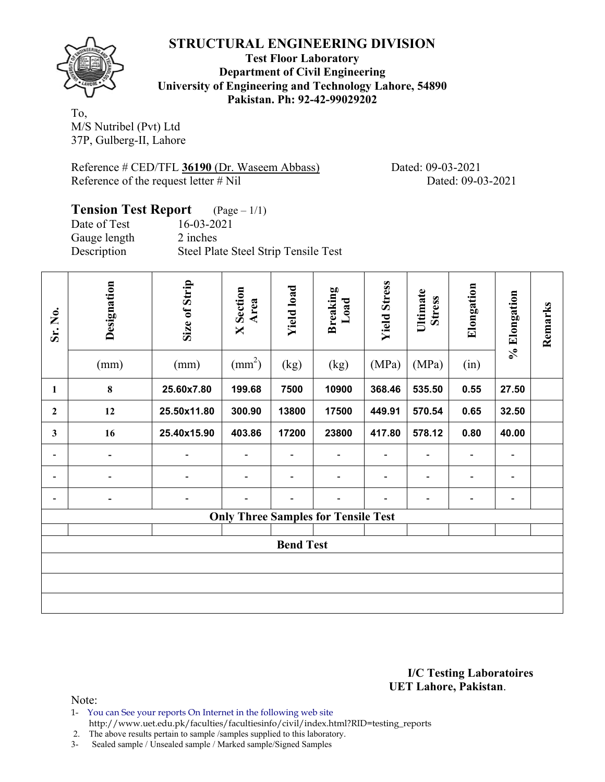

**Test Floor Laboratory Department of Civil Engineering University of Engineering and Technology Lahore, 54890 Pakistan. Ph: 92-42-99029202** 

To, M/S Nutribel (Pvt) Ltd 37P, Gulberg-II, Lahore

Reference # CED/TFL **36190** (Dr. Waseem Abbass) Dated: 09-03-2021 Reference of the request letter # Nil Dated: 09-03-2021

# **Tension Test Report** (Page – 1/1) Date of Test 16-03-2021

Gauge length 2 inches Description Steel Plate Steel Strip Tensile Test

| Sr. No.        | Designation<br>(mm)          | Size of Strip<br>(mm) | <b>X</b> Section<br>Area<br>$\text{(mm}^2)$ | <b>Yield load</b><br>(kg) | <b>Breaking</b><br>Load<br>(kg)            | <b>Yield Stress</b><br>(MPa) | Ultimate<br><b>Stress</b><br>(MPa) | Elongation<br>(in) | % Elongation | Remarks |
|----------------|------------------------------|-----------------------|---------------------------------------------|---------------------------|--------------------------------------------|------------------------------|------------------------------------|--------------------|--------------|---------|
| 1              | 8                            | 25.60x7.80            | 199.68                                      | 7500                      | 10900                                      | 368.46                       | 535.50                             | 0.55               | 27.50        |         |
| $\overline{2}$ | 12                           | 25.50x11.80           | 300.90                                      | 13800                     | 17500                                      | 449.91                       | 570.54                             | 0.65               | 32.50        |         |
| 3              | 16                           | 25.40x15.90           | 403.86                                      | 17200                     | 23800                                      | 417.80                       | 578.12                             | 0.80               | 40.00        |         |
|                | $\qquad \qquad \blacksquare$ | -                     |                                             |                           |                                            | ۰                            | -                                  |                    |              |         |
|                |                              |                       | $\blacksquare$                              |                           |                                            | $\blacksquare$               | $\overline{\phantom{0}}$           |                    | ۰            |         |
| $\blacksquare$ | $\qquad \qquad \blacksquare$ | $\overline{a}$        | -                                           |                           |                                            | $\overline{\phantom{0}}$     | -                                  | Ξ.                 | ۰            |         |
|                |                              |                       |                                             |                           | <b>Only Three Samples for Tensile Test</b> |                              |                                    |                    |              |         |
|                |                              |                       |                                             | <b>Bend Test</b>          |                                            |                              |                                    |                    |              |         |
|                |                              |                       |                                             |                           |                                            |                              |                                    |                    |              |         |
|                |                              |                       |                                             |                           |                                            |                              |                                    |                    |              |         |
|                |                              |                       |                                             |                           |                                            |                              |                                    |                    |              |         |

**I/C Testing Laboratoires UET Lahore, Pakistan**.

Note:

1- You can See your reports On Internet in the following web site http://www.uet.edu.pk/faculties/facultiesinfo/civil/index.html?RID=testing\_reports

2. The above results pertain to sample /samples supplied to this laboratory.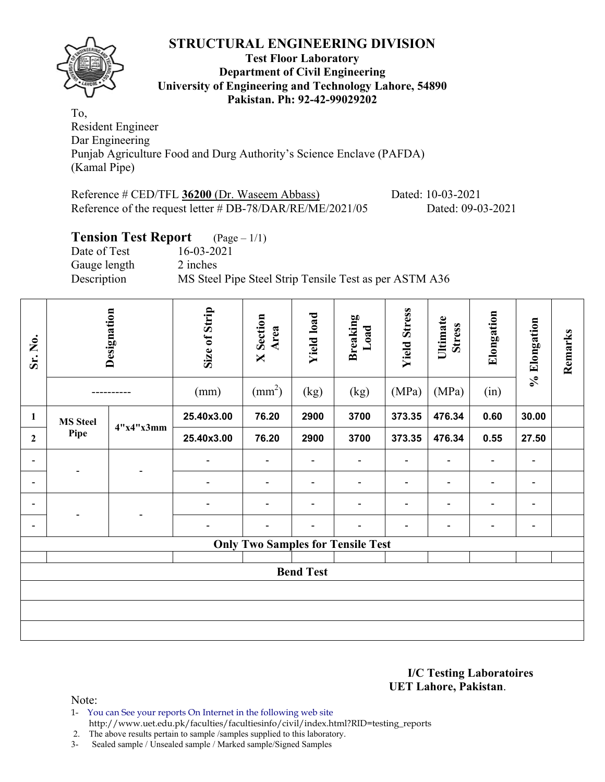

#### **Test Floor Laboratory Department of Civil Engineering University of Engineering and Technology Lahore, 54890 Pakistan. Ph: 92-42-99029202**

To, Resident Engineer Dar Engineering Punjab Agriculture Food and Durg Authority's Science Enclave (PAFDA) (Kamal Pipe)

Reference # CED/TFL **36200** (Dr. Waseem Abbass) Dated: 10-03-2021 Reference of the request letter # DB-78/DAR/RE/ME/2021/05 Dated: 09-03-2021

## **Tension Test Report** (Page – 1/1)

Date of Test 16-03-2021 Gauge length 2 inches Description MS Steel Pipe Steel Strip Tensile Test as per ASTM A36

| Sr. No.        |                 | Designation | Size of Strip<br>(mm) | <b>X</b> Section<br>Area<br>$\text{(mm}^2)$ | <b>Yield load</b><br>(kg) | <b>Breaking</b><br>Load<br>(kg)          | <b>Yield Stress</b><br>(MPa) | Ultimate<br><b>Stress</b><br>(MPa) | Elongation<br>(in) | % Elongation             | Remarks |
|----------------|-----------------|-------------|-----------------------|---------------------------------------------|---------------------------|------------------------------------------|------------------------------|------------------------------------|--------------------|--------------------------|---------|
| 1              | <b>MS</b> Steel |             | 25.40x3.00            | 76.20                                       | 2900                      | 3700                                     | 373.35                       | 476.34                             | 0.60               | 30.00                    |         |
| $\mathbf{2}$   | Pipe            | 4"x4"x3mm   | 25.40x3.00            | 76.20                                       | 2900                      | 3700                                     | 373.35                       | 476.34                             | 0.55               | 27.50                    |         |
|                |                 |             | $\blacksquare$        |                                             |                           | $\blacksquare$                           | $\overline{a}$               | $\blacksquare$                     |                    | $\overline{\phantom{a}}$ |         |
| $\blacksquare$ |                 |             | $\blacksquare$        | $\blacksquare$                              | $\blacksquare$            | $\blacksquare$                           | $\blacksquare$               | $\blacksquare$                     | $\blacksquare$     | ۰                        |         |
|                |                 |             |                       |                                             |                           | $\blacksquare$                           |                              | $\blacksquare$                     |                    | $\blacksquare$           |         |
|                |                 |             | $\overline{a}$        | $\blacksquare$                              |                           | -                                        | $\overline{\phantom{0}}$     | $\blacksquare$                     | ٠                  | ۰                        |         |
|                |                 |             |                       |                                             |                           | <b>Only Two Samples for Tensile Test</b> |                              |                                    |                    |                          |         |
|                |                 |             |                       |                                             | <b>Bend Test</b>          |                                          |                              |                                    |                    |                          |         |
|                |                 |             |                       |                                             |                           |                                          |                              |                                    |                    |                          |         |
|                |                 |             |                       |                                             |                           |                                          |                              |                                    |                    |                          |         |
|                |                 |             |                       |                                             |                           |                                          |                              |                                    |                    |                          |         |

#### **I/C Testing Laboratoires UET Lahore, Pakistan**.

Note:

1- You can See your reports On Internet in the following web site http://www.uet.edu.pk/faculties/facultiesinfo/civil/index.html?RID=testing\_reports

2. The above results pertain to sample /samples supplied to this laboratory.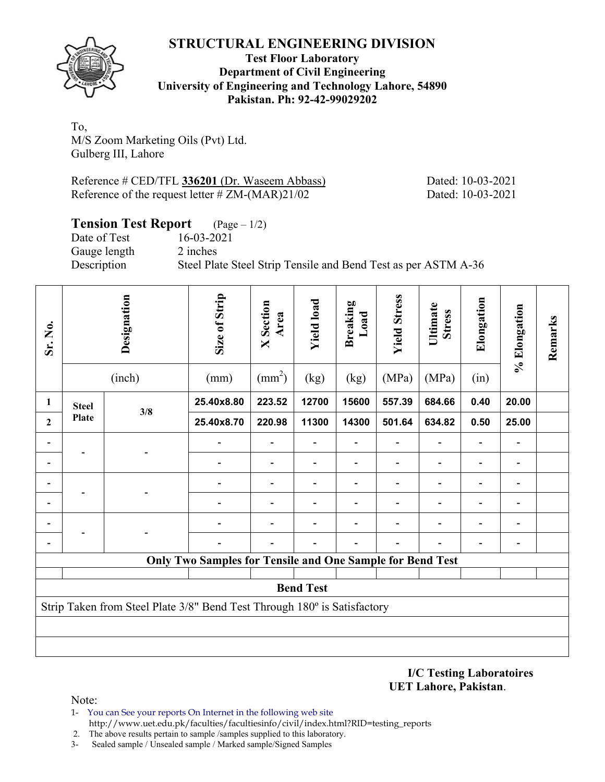

### **Test Floor Laboratory Department of Civil Engineering University of Engineering and Technology Lahore, 54890 Pakistan. Ph: 92-42-99029202**

To, M/S Zoom Marketing Oils (Pvt) Ltd. Gulberg III, Lahore

Reference # CED/TFL **336201** (Dr. Waseem Abbass) Dated: 10-03-2021 Reference of the request letter # ZM-(MAR)21/02 Dated: 10-03-2021

## **Tension Test Report** (Page – 1/2)

Date of Test 16-03-2021 Gauge length 2 inches

Description Steel Plate Steel Strip Tensile and Bend Test as per ASTM A-36

| Sr. No.        |              | Designation<br>(inch)                                                    | Size of Strip<br>(mm)                                            | <b>X</b> Section<br>Area<br>$\text{(mm}^2)$ | <b>Yield load</b><br>(kg)    | <b>Breaking</b><br>Load<br>(kg) | <b>Yield Stress</b><br>(MPa) | Ultimate<br><b>Stress</b><br>(MPa) | Elongation<br>(in) | % Elongation                 | Remarks |  |
|----------------|--------------|--------------------------------------------------------------------------|------------------------------------------------------------------|---------------------------------------------|------------------------------|---------------------------------|------------------------------|------------------------------------|--------------------|------------------------------|---------|--|
| 1              | <b>Steel</b> |                                                                          | 25.40x8.80                                                       | 223.52                                      | 12700                        | 15600                           | 557.39                       | 684.66                             | 0.40               | 20.00                        |         |  |
| $\overline{2}$ | Plate        | 3/8                                                                      | 25.40x8.70                                                       | 220.98                                      | 11300                        | 14300                           | 501.64                       | 634.82                             | 0.50               | 25.00                        |         |  |
|                |              |                                                                          |                                                                  |                                             | $\overline{\phantom{0}}$     |                                 |                              |                                    |                    | $\qquad \qquad \blacksquare$ |         |  |
|                |              |                                                                          |                                                                  | $\overline{\phantom{0}}$                    | $\qquad \qquad \blacksquare$ |                                 |                              |                                    |                    | $\blacksquare$               |         |  |
|                |              |                                                                          |                                                                  |                                             | $\qquad \qquad \blacksquare$ |                                 |                              |                                    |                    | $\overline{\phantom{a}}$     |         |  |
|                |              |                                                                          |                                                                  | $\overline{\phantom{0}}$                    | $\overline{a}$               |                                 |                              |                                    |                    | $\overline{\phantom{a}}$     |         |  |
|                |              |                                                                          |                                                                  |                                             |                              |                                 |                              |                                    |                    | $\overline{\phantom{a}}$     |         |  |
|                |              |                                                                          |                                                                  |                                             |                              |                                 |                              |                                    |                    |                              |         |  |
|                |              |                                                                          | <b>Only Two Samples for Tensile and One Sample for Bend Test</b> |                                             |                              |                                 |                              |                                    |                    |                              |         |  |
|                |              |                                                                          |                                                                  |                                             | <b>Bend Test</b>             |                                 |                              |                                    |                    |                              |         |  |
|                |              | Strip Taken from Steel Plate 3/8" Bend Test Through 180° is Satisfactory |                                                                  |                                             |                              |                                 |                              |                                    |                    |                              |         |  |
|                |              |                                                                          |                                                                  |                                             |                              |                                 |                              |                                    |                    |                              |         |  |
|                |              |                                                                          |                                                                  |                                             |                              |                                 |                              |                                    |                    |                              |         |  |

**I/C Testing Laboratoires UET Lahore, Pakistan**.

- 1- You can See your reports On Internet in the following web site http://www.uet.edu.pk/faculties/facultiesinfo/civil/index.html?RID=testing\_reports
- 2. The above results pertain to sample /samples supplied to this laboratory.
- 3- Sealed sample / Unsealed sample / Marked sample/Signed Samples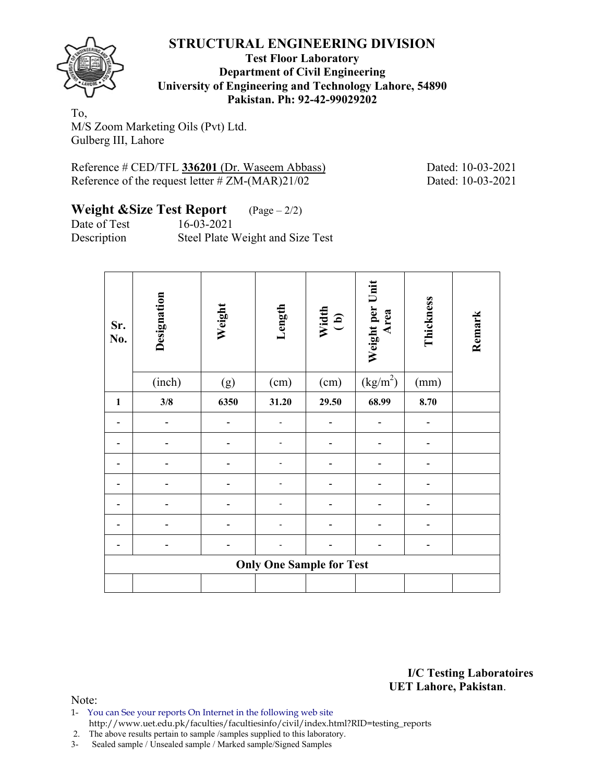

#### **Test Floor Laboratory Department of Civil Engineering University of Engineering and Technology Lahore, 54890 Pakistan. Ph: 92-42-99029202**

To, M/S Zoom Marketing Oils (Pvt) Ltd. Gulberg III, Lahore

Reference # CED/TFL **336201** (Dr. Waseem Abbass) Dated: 10-03-2021 Reference of the request letter  $\# ZM-(MAR)21/02$  Dated: 10-03-2021

# **Weight &Size Test Report** (Page – 2/2)

Date of Test 16-03-2021

Description Steel Plate Weight and Size Test

| Sr.<br>No.   | Designation | Weight | Length                          | Width<br>(b) | Weight per Unit<br>Area | Thickness | Remark |
|--------------|-------------|--------|---------------------------------|--------------|-------------------------|-----------|--------|
|              | (inch)      | (g)    | (cm)                            | (cm)         | (kg/m <sup>2</sup> )    | (mm)      |        |
| $\mathbf{1}$ | 3/8         | 6350   | 31.20                           | 29.50        | 68.99                   | 8.70      |        |
|              |             |        |                                 |              |                         |           |        |
|              |             |        |                                 |              |                         |           |        |
|              |             |        |                                 |              |                         |           |        |
|              |             |        |                                 |              |                         |           |        |
|              |             |        |                                 |              |                         |           |        |
|              |             |        |                                 |              |                         |           |        |
|              |             |        |                                 |              |                         |           |        |
|              |             |        | <b>Only One Sample for Test</b> |              |                         |           |        |
|              |             |        |                                 |              |                         |           |        |

**I/C Testing Laboratoires UET Lahore, Pakistan**.

- 1- You can See your reports On Internet in the following web site http://www.uet.edu.pk/faculties/facultiesinfo/civil/index.html?RID=testing\_reports
- 2. The above results pertain to sample /samples supplied to this laboratory.
- 3- Sealed sample / Unsealed sample / Marked sample/Signed Samples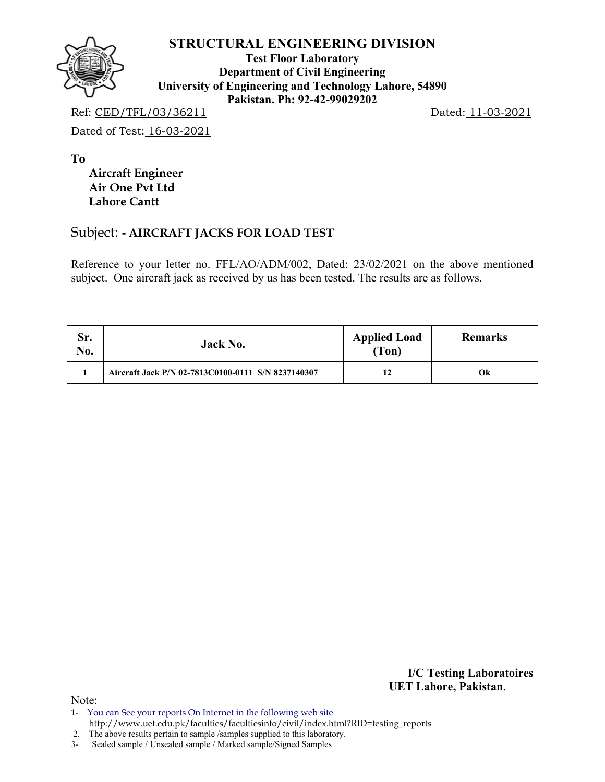

**Test Floor Laboratory Department of Civil Engineering University of Engineering and Technology Lahore, 54890 Pakistan. Ph: 92-42-99029202** 

Ref: CED/TFL/03/36211 Dated: 11-03-2021

Dated of Test: 16-03-2021

**To** 

 **Aircraft Engineer Air One Pvt Ltd Lahore Cantt**

## Subject: **- AIRCRAFT JACKS FOR LOAD TEST**

Reference to your letter no. FFL/AO/ADM/002, Dated: 23/02/2021 on the above mentioned subject. One aircraft jack as received by us has been tested. The results are as follows.

| Sr.<br>No. | Jack No.                                           | <b>Applied Load</b><br>(Ton) | <b>Remarks</b> |
|------------|----------------------------------------------------|------------------------------|----------------|
|            | Aircraft Jack P/N 02-7813C0100-0111 S/N 8237140307 |                              | Ok             |

**I/C Testing Laboratoires UET Lahore, Pakistan**.

Note:

2. The above results pertain to sample /samples supplied to this laboratory.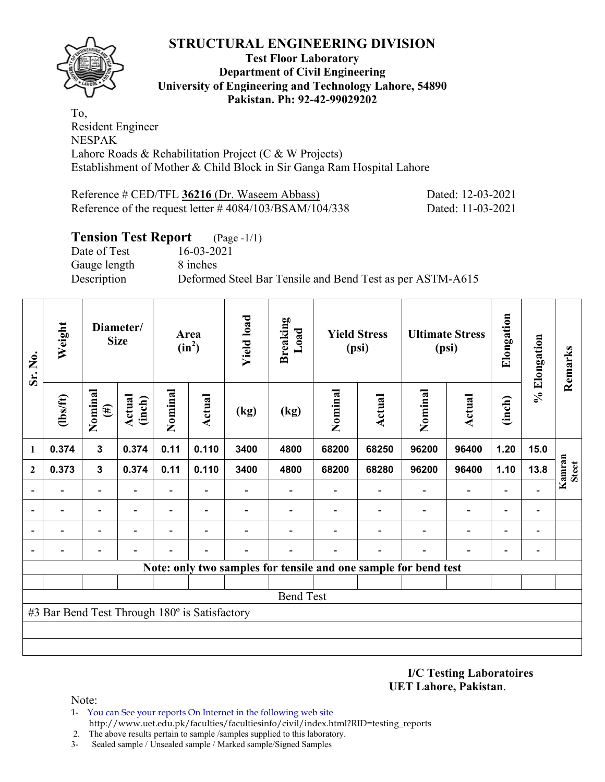

#### **Test Floor Laboratory Department of Civil Engineering University of Engineering and Technology Lahore, 54890 Pakistan. Ph: 92-42-99029202**

To, Resident Engineer NESPAK Lahore Roads & Rehabilitation Project (C & W Projects) Establishment of Mother & Child Block in Sir Ganga Ram Hospital Lahore

Reference # CED/TFL **36216** (Dr. Waseem Abbass) Dated: 12-03-2021 Reference of the request letter # 4084/103/BSAM/104/338 Dated: 11-03-2021

### **Tension Test Report** (Page -1/1)

Date of Test 16-03-2021 Gauge length 8 inches

Description Deformed Steel Bar Tensile and Bend Test as per ASTM-A615

| Sr. No.      | Weight                                        |                              | Diameter/<br><b>Size</b> |                          | Area<br>$(in^2)$         | <b>Yield load</b> | <b>Breaking</b><br>Load                                         |         | <b>Yield Stress</b><br>(psi) |                          | <b>Ultimate Stress</b><br>(psi) | Elongation | % Elongation                 | Remarks                |
|--------------|-----------------------------------------------|------------------------------|--------------------------|--------------------------|--------------------------|-------------------|-----------------------------------------------------------------|---------|------------------------------|--------------------------|---------------------------------|------------|------------------------------|------------------------|
|              | $\frac{2}{10}$                                | Nominal<br>$(\#)$            | Actual<br>(inch)         | Nominal                  | Actual                   | (kg)              | (kg)                                                            | Nominal | <b>Actual</b>                | Nominal                  | <b>Actual</b>                   | (inch)     |                              |                        |
| 1            | 0.374                                         | $\mathbf{3}$                 | 0.374                    | 0.11                     | 0.110                    | 3400              | 4800                                                            | 68200   | 68250                        | 96200                    | 96400                           | 1.20       | 15.0                         |                        |
| $\mathbf{2}$ | 0.373                                         | $\mathbf{3}$                 | 0.374                    | 0.11                     | 0.110                    | 3400              | 4800                                                            | 68200   | 68280                        | 96200                    | 96400                           | 1.10       | 13.8                         | Kamran<br><b>Steet</b> |
|              |                                               | $\overline{\phantom{a}}$     |                          | -                        |                          |                   |                                                                 |         |                              | $\overline{\phantom{0}}$ | $\overline{a}$                  |            |                              |                        |
|              |                                               | $\qquad \qquad \blacksquare$ |                          | $\overline{\phantom{0}}$ | $\overline{\phantom{0}}$ |                   |                                                                 |         |                              |                          | $\qquad \qquad \blacksquare$    |            | $\qquad \qquad \blacksquare$ |                        |
|              |                                               | -                            |                          |                          |                          |                   |                                                                 |         |                              |                          |                                 |            | $\qquad \qquad$              |                        |
|              |                                               | $\overline{\phantom{0}}$     |                          |                          |                          |                   |                                                                 |         |                              |                          |                                 |            | $\overline{a}$               |                        |
|              |                                               |                              |                          |                          |                          |                   | Note: only two samples for tensile and one sample for bend test |         |                              |                          |                                 |            |                              |                        |
|              |                                               |                              |                          |                          |                          |                   |                                                                 |         |                              |                          |                                 |            |                              |                        |
|              |                                               |                              |                          |                          |                          |                   | <b>Bend Test</b>                                                |         |                              |                          |                                 |            |                              |                        |
|              | #3 Bar Bend Test Through 180° is Satisfactory |                              |                          |                          |                          |                   |                                                                 |         |                              |                          |                                 |            |                              |                        |
|              |                                               |                              |                          |                          |                          |                   |                                                                 |         |                              |                          |                                 |            |                              |                        |
|              |                                               |                              |                          |                          |                          |                   |                                                                 |         |                              |                          |                                 |            |                              |                        |

**I/C Testing Laboratoires UET Lahore, Pakistan**.

- 1- You can See your reports On Internet in the following web site http://www.uet.edu.pk/faculties/facultiesinfo/civil/index.html?RID=testing\_reports
- 2. The above results pertain to sample /samples supplied to this laboratory.
- 3- Sealed sample / Unsealed sample / Marked sample/Signed Samples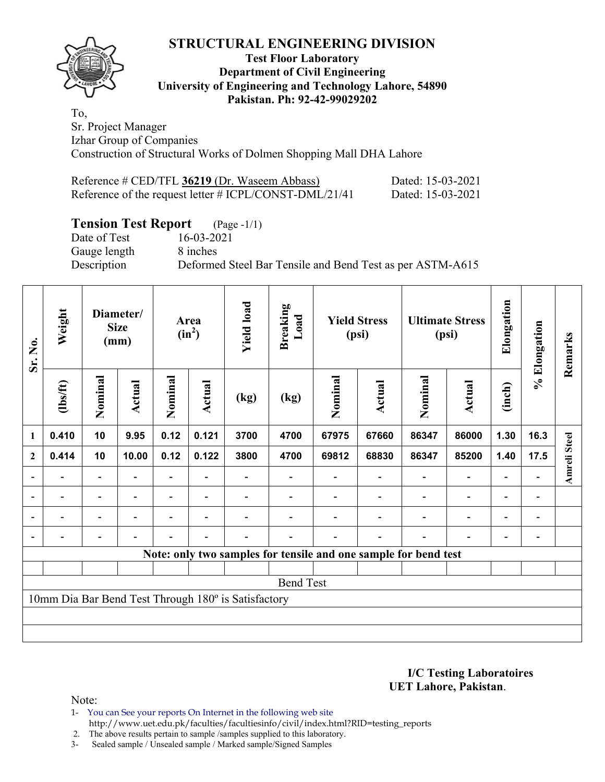#### **Test Floor Laboratory Department of Civil Engineering University of Engineering and Technology Lahore, 54890 Pakistan. Ph: 92-42-99029202**

To, Sr. Project Manager Izhar Group of Companies Construction of Structural Works of Dolmen Shopping Mall DHA Lahore

| Reference # CED/TFL 36219 (Dr. Waseem Abbass)             | Dated: 15-03-2021 |
|-----------------------------------------------------------|-------------------|
| Reference of the request letter $\#$ ICPL/CONST-DML/21/41 | Dated: 15-03-2021 |

## **Tension Test Report** (Page -1/1)

Date of Test 16-03-2021 Gauge length 8 inches

Description Deformed Steel Bar Tensile and Bend Test as per ASTM-A615

| Sr. No.          | Weight                   |                          | Diameter/<br><b>Size</b><br>(mm) |                          | Area<br>$(in^2)$         | <b>Yield load</b>                                   | <b>Breaking</b><br>Load |         | <b>Yield Stress</b><br>(psi) |                                                                 | <b>Ultimate Stress</b><br>(psi) | Elongation               | % Elongation   | Remarks             |
|------------------|--------------------------|--------------------------|----------------------------------|--------------------------|--------------------------|-----------------------------------------------------|-------------------------|---------|------------------------------|-----------------------------------------------------------------|---------------------------------|--------------------------|----------------|---------------------|
|                  | (1bs/ft)                 | Nominal                  | Actual                           | Nominal                  | Actual                   | (kg)                                                | (kg)                    | Nominal | <b>Actual</b>                | Nominal                                                         | <b>Actual</b>                   | (inch)                   |                |                     |
| $\mathbf{1}$     | 0.410                    | 10                       | 9.95                             | 0.12                     | 0.121                    | 3700                                                | 4700                    | 67975   | 67660                        | 86347                                                           | 86000                           | 1.30                     | 16.3           |                     |
| $\boldsymbol{2}$ | 0.414                    | 10                       | 10.00                            | 0.12                     | 0.122                    | 3800                                                | 4700                    | 69812   | 68830                        | 86347                                                           | 85200                           | 1.40                     | 17.5           | <b>Amreli Steel</b> |
| $\blacksquare$   |                          | $\overline{\phantom{a}}$ |                                  |                          |                          |                                                     |                         |         |                              |                                                                 | $\blacksquare$                  | $\overline{\phantom{0}}$ |                |                     |
| $\blacksquare$   | $\blacksquare$           | $\overline{\phantom{a}}$ | $\blacksquare$                   | $\overline{\phantom{0}}$ | $\blacksquare$           |                                                     |                         |         |                              | $\overline{\phantom{a}}$                                        | $\blacksquare$                  | $\overline{\phantom{0}}$ | $\blacksquare$ |                     |
|                  | $\overline{\phantom{0}}$ | Ξ.                       | $\blacksquare$                   | $\overline{\phantom{0}}$ | $\overline{\phantom{0}}$ |                                                     |                         |         |                              | ÷                                                               | $\overline{a}$                  | $\overline{\phantom{0}}$ | $\blacksquare$ |                     |
|                  |                          | $\overline{\phantom{0}}$ |                                  |                          | $\overline{\phantom{a}}$ |                                                     |                         |         | $\blacksquare$               |                                                                 | $\overline{\phantom{0}}$        | ۰                        |                |                     |
|                  |                          |                          |                                  |                          |                          |                                                     |                         |         |                              | Note: only two samples for tensile and one sample for bend test |                                 |                          |                |                     |
|                  |                          |                          |                                  |                          |                          |                                                     |                         |         |                              |                                                                 |                                 |                          |                |                     |
|                  |                          |                          |                                  |                          |                          |                                                     | <b>Bend Test</b>        |         |                              |                                                                 |                                 |                          |                |                     |
|                  |                          |                          |                                  |                          |                          | 10mm Dia Bar Bend Test Through 180° is Satisfactory |                         |         |                              |                                                                 |                                 |                          |                |                     |
|                  |                          |                          |                                  |                          |                          |                                                     |                         |         |                              |                                                                 |                                 |                          |                |                     |
|                  |                          |                          |                                  |                          |                          |                                                     |                         |         |                              |                                                                 |                                 |                          |                |                     |

**I/C Testing Laboratoires UET Lahore, Pakistan**.

- 1- You can See your reports On Internet in the following web site http://www.uet.edu.pk/faculties/facultiesinfo/civil/index.html?RID=testing\_reports
- 2. The above results pertain to sample /samples supplied to this laboratory.
- 3- Sealed sample / Unsealed sample / Marked sample/Signed Samples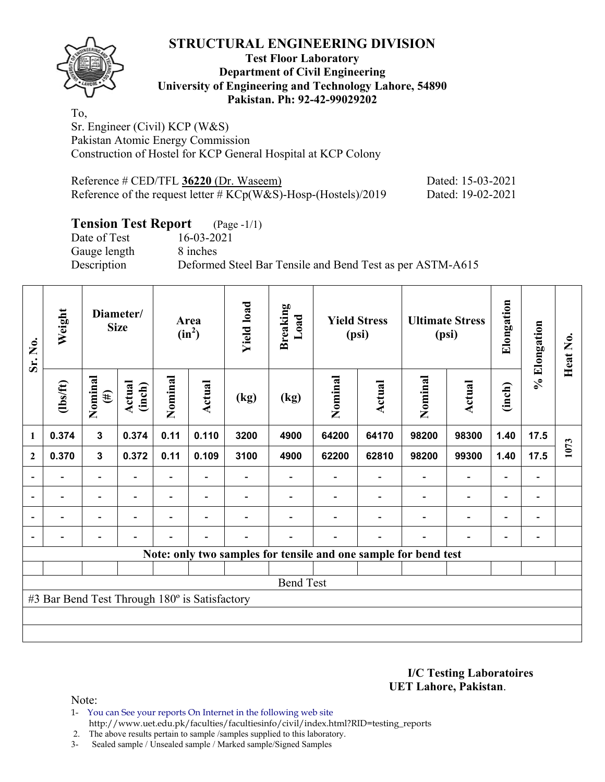

#### **Test Floor Laboratory Department of Civil Engineering University of Engineering and Technology Lahore, 54890 Pakistan. Ph: 92-42-99029202**

To, Sr. Engineer (Civil) KCP (W&S) Pakistan Atomic Energy Commission Construction of Hostel for KCP General Hospital at KCP Colony

| Reference $\#$ CED/TFL 36220 (Dr. Waseem)                         | Dated: 15-03-2021 |
|-------------------------------------------------------------------|-------------------|
| Reference of the request letter $\#$ KCp(W&S)-Hosp-(Hostels)/2019 | Dated: 19-02-2021 |

## **Tension Test Report** (Page -1/1)

Gauge length 8 inches

Date of Test 16-03-2021 Description Deformed Steel Bar Tensile and Bend Test as per ASTM-A615

| Sr. No.                  | Weight                                        |                              | Diameter/<br><b>Size</b> |                          | Area<br>$(in^2)$         | <b>Yield load</b>        | <b>Breaking</b><br>Load |                                                                 | <b>Yield Stress</b><br>(psi) |                | <b>Ultimate Stress</b><br>(psi) | Elongation               | % Elongation                 | Heat No. |
|--------------------------|-----------------------------------------------|------------------------------|--------------------------|--------------------------|--------------------------|--------------------------|-------------------------|-----------------------------------------------------------------|------------------------------|----------------|---------------------------------|--------------------------|------------------------------|----------|
|                          | (1bs/ft)                                      | Nominal<br>$(\#)$            | Actual<br>(inch)         | Nominal                  | Actual                   | (kg)                     | (kg)                    | Nominal                                                         | Actual                       | Nominal        | <b>Actual</b>                   | (inch)                   |                              |          |
| 1                        | 0.374                                         | 3                            | 0.374                    | 0.11                     | 0.110                    | 3200                     | 4900                    | 64200                                                           | 64170                        | 98200          | 98300                           | 1.40                     | 17.5                         |          |
| $\mathbf{2}$             | 0.370                                         | $\mathbf 3$                  | 0.372                    | 0.11                     | 0.109                    | 3100                     | 4900                    | 62200                                                           | 62810                        | 98200          | 99300                           | 1.40                     | 17.5                         | 1073     |
|                          |                                               |                              |                          |                          |                          |                          |                         |                                                                 |                              |                |                                 |                          |                              |          |
| $\overline{\phantom{a}}$ |                                               | $\qquad \qquad \blacksquare$ | $\overline{\phantom{0}}$ | $\overline{\phantom{0}}$ | $\overline{\phantom{a}}$ |                          | $\overline{a}$          |                                                                 |                              | $\blacksquare$ | $\overline{\phantom{a}}$        | $\blacksquare$           | $\qquad \qquad \blacksquare$ |          |
| $\overline{\phantom{a}}$ |                                               | $\overline{\phantom{0}}$     |                          | $\overline{\phantom{0}}$ | $\overline{\phantom{a}}$ |                          |                         |                                                                 |                              |                | $\blacksquare$                  | $\overline{\phantom{0}}$ | $\qquad \qquad \blacksquare$ |          |
| ÷                        |                                               | $\qquad \qquad \blacksquare$ |                          | $\overline{\phantom{0}}$ | $\overline{\phantom{a}}$ | $\overline{\phantom{0}}$ | $\blacksquare$          | $\blacksquare$                                                  |                              |                | $\blacksquare$                  | $\overline{\phantom{0}}$ | $\qquad \qquad \blacksquare$ |          |
|                          |                                               |                              |                          |                          |                          |                          |                         | Note: only two samples for tensile and one sample for bend test |                              |                |                                 |                          |                              |          |
|                          |                                               |                              |                          |                          |                          |                          |                         |                                                                 |                              |                |                                 |                          |                              |          |
|                          |                                               |                              |                          |                          |                          |                          | <b>Bend Test</b>        |                                                                 |                              |                |                                 |                          |                              |          |
|                          | #3 Bar Bend Test Through 180° is Satisfactory |                              |                          |                          |                          |                          |                         |                                                                 |                              |                |                                 |                          |                              |          |
|                          |                                               |                              |                          |                          |                          |                          |                         |                                                                 |                              |                |                                 |                          |                              |          |
|                          |                                               |                              |                          |                          |                          |                          |                         |                                                                 |                              |                |                                 |                          |                              |          |

**I/C Testing Laboratoires UET Lahore, Pakistan**.

Note:

1- You can See your reports On Internet in the following web site http://www.uet.edu.pk/faculties/facultiesinfo/civil/index.html?RID=testing\_reports

2. The above results pertain to sample /samples supplied to this laboratory.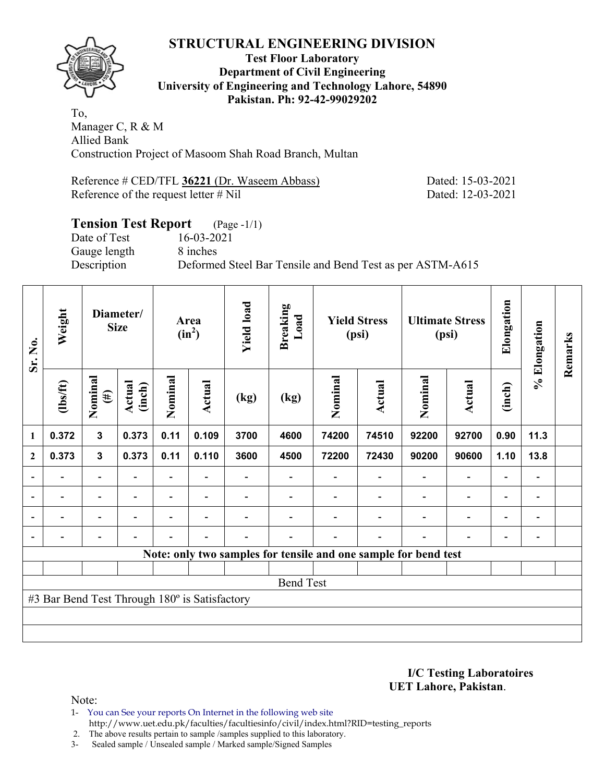

**Test Floor Laboratory Department of Civil Engineering University of Engineering and Technology Lahore, 54890 Pakistan. Ph: 92-42-99029202** 

To, Manager C, R & M Allied Bank Construction Project of Masoom Shah Road Branch, Multan

Reference # CED/TFL 36221 (Dr. Waseem Abbass) Dated: 15-03-2021 Reference of the request letter # Nil Dated: 12-03-2021

## **Tension Test Report** (Page -1/1) Date of Test 16-03-2021 Gauge length 8 inches Description Deformed Steel Bar Tensile and Bend Test as per ASTM-A615

| Sr. No.      | Weight                                        |                          | Diameter/<br><b>Size</b> |                          | Area<br>$(in^2)$         | <b>Yield load</b> | <b>Breaking</b><br>Load |                                                                 | <b>Yield Stress</b><br>(psi) |                          | <b>Ultimate Stress</b><br>(psi) | Elongation               | % Elongation             | Remarks |
|--------------|-----------------------------------------------|--------------------------|--------------------------|--------------------------|--------------------------|-------------------|-------------------------|-----------------------------------------------------------------|------------------------------|--------------------------|---------------------------------|--------------------------|--------------------------|---------|
|              | $\frac{2}{10}$                                | Nominal<br>$(\#)$        | <b>Actual</b><br>(inch)  | Nominal                  | Actual                   | (kg)              | (kg)                    | Nominal                                                         | <b>Actual</b>                | Nominal                  | <b>Actual</b>                   | (inch)                   |                          |         |
| 1            | 0.372                                         | $\mathbf{3}$             | 0.373                    | 0.11                     | 0.109                    | 3700              | 4600                    | 74200                                                           | 74510                        | 92200                    | 92700                           | 0.90                     | 11.3                     |         |
| $\mathbf{2}$ | 0.373                                         | $\mathbf{3}$             | 0.373                    | 0.11                     | 0.110                    | 3600              | 4500                    | 72200                                                           | 72430                        | 90200                    | 90600                           | 1.10                     | 13.8                     |         |
|              |                                               | $\overline{\phantom{0}}$ |                          | $\overline{\phantom{0}}$ |                          |                   |                         |                                                                 |                              | $\overline{\phantom{0}}$ | $\qquad \qquad \blacksquare$    | -                        |                          |         |
|              | $\blacksquare$                                | $\overline{\phantom{0}}$ |                          |                          | ۰                        |                   |                         |                                                                 |                              |                          | $\overline{\phantom{0}}$        | $\overline{\phantom{0}}$ | $\blacksquare$           |         |
|              | $\blacksquare$                                | $\blacksquare$           |                          |                          | $\overline{\phantom{a}}$ |                   |                         |                                                                 |                              | $\blacksquare$           | $\qquad \qquad \blacksquare$    | $\overline{\phantom{0}}$ | $\overline{\phantom{0}}$ |         |
|              | $\overline{\phantom{0}}$                      | $\blacksquare$           |                          |                          | ۰                        |                   |                         |                                                                 | $\blacksquare$               | $\blacksquare$           | $\overline{\phantom{0}}$        | $\overline{\phantom{a}}$ | $\overline{\phantom{0}}$ |         |
|              |                                               |                          |                          |                          |                          |                   |                         | Note: only two samples for tensile and one sample for bend test |                              |                          |                                 |                          |                          |         |
|              |                                               |                          |                          |                          |                          |                   |                         |                                                                 |                              |                          |                                 |                          |                          |         |
|              |                                               |                          |                          |                          |                          |                   | <b>Bend Test</b>        |                                                                 |                              |                          |                                 |                          |                          |         |
|              | #3 Bar Bend Test Through 180° is Satisfactory |                          |                          |                          |                          |                   |                         |                                                                 |                              |                          |                                 |                          |                          |         |
|              |                                               |                          |                          |                          |                          |                   |                         |                                                                 |                              |                          |                                 |                          |                          |         |
|              |                                               |                          |                          |                          |                          |                   |                         |                                                                 |                              |                          |                                 |                          |                          |         |

**I/C Testing Laboratoires UET Lahore, Pakistan**.

Note:

1- You can See your reports On Internet in the following web site http://www.uet.edu.pk/faculties/facultiesinfo/civil/index.html?RID=testing\_reports

2. The above results pertain to sample /samples supplied to this laboratory.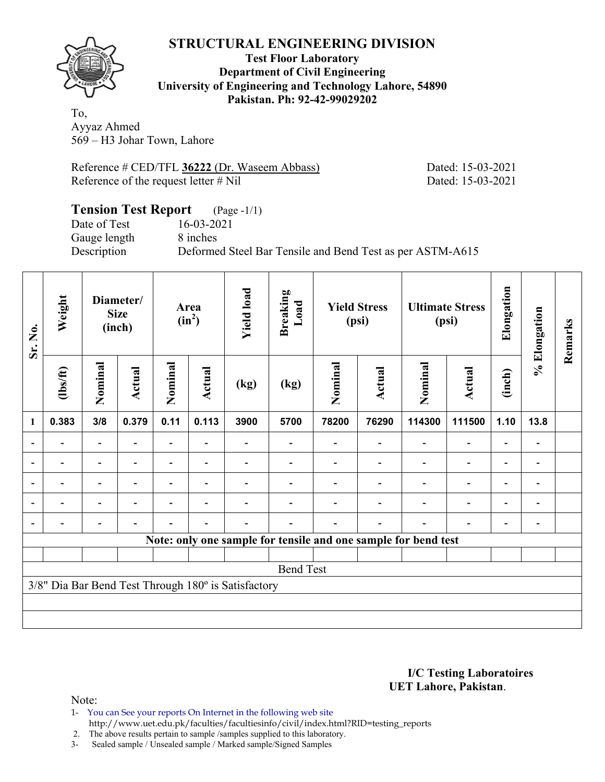

#### **Test Floor Laboratory Department of Civil Engineering University of Engineering and Technology Lahore, 54890 Pakistan. Ph: 92-42-99029202**

To, Ayyaz Ahmed 569 – H3 Johar Town, Lahore

Reference # CED/TFL 36222 (Dr. Waseem Abbass) Dated: 15-03-2021 Reference of the request letter # Nil Dated: 15-03-2021

#### **Tension Test Report** (Page -1/1) Date of Test 16-03-2021

Gauge length 8 inches

Description Deformed Steel Bar Tensile and Bend Test as per ASTM-A615

| Sr. No.        | Weight                   |                          | Diameter/<br><b>Size</b><br>(inch) |         | Area<br>$(in^2)$ | <b>Yield load</b>                                   | <b>Breaking</b><br>Load                                        |         | <b>Yield Stress</b><br>(psi) |         | <b>Ultimate Stress</b><br>(psi) | Elongation               | % Elongation                 | Remarks |
|----------------|--------------------------|--------------------------|------------------------------------|---------|------------------|-----------------------------------------------------|----------------------------------------------------------------|---------|------------------------------|---------|---------------------------------|--------------------------|------------------------------|---------|
|                | $\frac{2}{10}$           | Nominal                  | Actual                             | Nominal | Actual           | (kg)                                                | (kg)                                                           | Nominal | <b>Actual</b>                | Nominal | <b>Actual</b>                   | (inch)                   |                              |         |
| 1              | 0.383                    | 3/8                      | 0.379                              | 0.11    | 0.113            | 3900                                                | 5700                                                           | 78200   | 76290                        | 114300  | 111500                          | 1.10                     | 13.8                         |         |
|                |                          | $\overline{\phantom{0}}$ |                                    | Ξ.      |                  |                                                     |                                                                |         |                              |         | $\overline{\phantom{0}}$        |                          |                              |         |
|                |                          | $\overline{\phantom{0}}$ |                                    | -       |                  |                                                     |                                                                |         |                              |         | $\overline{\phantom{0}}$        |                          | -                            |         |
| $\overline{a}$ |                          |                          |                                    |         |                  |                                                     |                                                                |         |                              |         |                                 |                          | -                            |         |
| $\blacksquare$ | $\overline{\phantom{a}}$ | $\overline{\phantom{0}}$ | $\blacksquare$                     |         | ۰                |                                                     |                                                                |         |                              |         | $\overline{\phantom{0}}$        | $\overline{\phantom{0}}$ | $\overline{\phantom{a}}$     |         |
| $\blacksquare$ |                          | $\overline{\phantom{0}}$ |                                    |         |                  |                                                     |                                                                |         |                              |         | $\overline{\phantom{0}}$        | $\overline{\phantom{0}}$ | $\qquad \qquad \blacksquare$ |         |
|                |                          |                          |                                    |         |                  |                                                     | Note: only one sample for tensile and one sample for bend test |         |                              |         |                                 |                          |                              |         |
|                |                          |                          |                                    |         |                  |                                                     |                                                                |         |                              |         |                                 |                          |                              |         |
|                |                          |                          |                                    |         |                  |                                                     | <b>Bend Test</b>                                               |         |                              |         |                                 |                          |                              |         |
|                |                          |                          |                                    |         |                  | 3/8" Dia Bar Bend Test Through 180° is Satisfactory |                                                                |         |                              |         |                                 |                          |                              |         |
|                |                          |                          |                                    |         |                  |                                                     |                                                                |         |                              |         |                                 |                          |                              |         |
|                |                          |                          |                                    |         |                  |                                                     |                                                                |         |                              |         |                                 |                          |                              |         |

#### **I/C Testing Laboratoires UET Lahore, Pakistan**.

Note:

1- You can See your reports On Internet in the following web site http://www.uet.edu.pk/faculties/facultiesinfo/civil/index.html?RID=testing\_reports

2. The above results pertain to sample /samples supplied to this laboratory.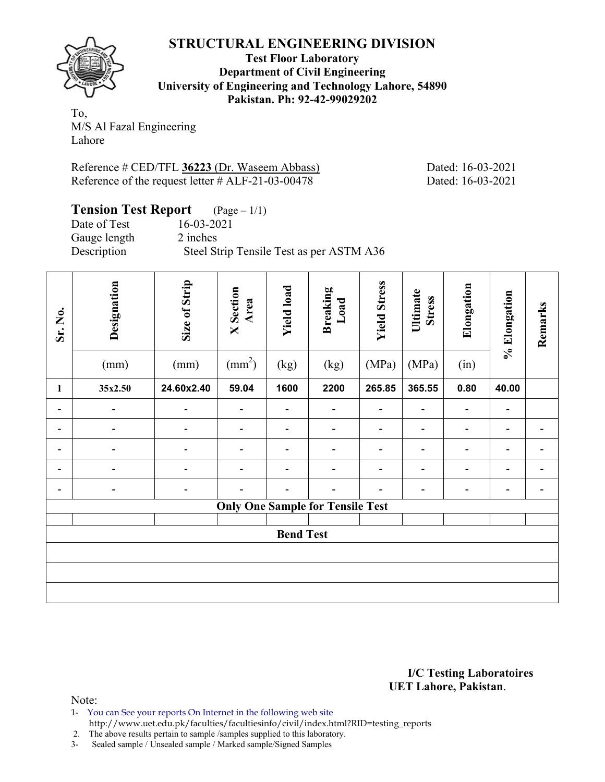**Test Floor Laboratory Department of Civil Engineering University of Engineering and Technology Lahore, 54890 Pakistan. Ph: 92-42-99029202** 

To, M/S Al Fazal Engineering Lahore

Reference # CED/TFL **36223** (Dr. Waseem Abbass) Dated: 16-03-2021 Reference of the request letter  $# ALF-21-03-00478$  Dated: 16-03-2021

| <b>Tension Test Report</b> $(Page-1/1)$ |                                          |
|-----------------------------------------|------------------------------------------|
| Date of Test                            | 16-03-2021                               |
| Gauge length                            | 2 inches                                 |
| Description                             | Steel Strip Tensile Test as per ASTM A36 |

| Sr. No.                                 | Designation<br>(mm) | Size of Strip<br>(mm)    | <b>X</b> Section<br>Area<br>$\text{(mm}^2)$ | <b>Yield load</b><br>(kg) | <b>Breaking</b><br>Load<br>(kg) | <b>Yield Stress</b><br>(MPa) | Ultimate<br><b>Stress</b><br>(MPa) | Elongation<br>(in)           | % Elongation             | Remarks                  |  |
|-----------------------------------------|---------------------|--------------------------|---------------------------------------------|---------------------------|---------------------------------|------------------------------|------------------------------------|------------------------------|--------------------------|--------------------------|--|
| $\mathbf{1}$                            | 35x2.50             | 24.60x2.40               | 59.04                                       | 1600                      | 2200                            | 265.85                       | 365.55                             | 0.80                         | 40.00                    |                          |  |
| $\qquad \qquad \blacksquare$            |                     | $\overline{\phantom{0}}$ |                                             | -                         |                                 |                              |                                    | $\qquad \qquad \blacksquare$ | $\overline{\phantom{a}}$ |                          |  |
| -                                       |                     |                          |                                             |                           |                                 |                              |                                    | $\qquad \qquad \blacksquare$ |                          |                          |  |
| $\qquad \qquad \blacksquare$            |                     | $\overline{\phantom{0}}$ |                                             | $\overline{\phantom{a}}$  |                                 |                              | -                                  | $\qquad \qquad \blacksquare$ | $\overline{\phantom{a}}$ | $\blacksquare$           |  |
|                                         |                     |                          |                                             | -                         |                                 |                              | -                                  | $\qquad \qquad \blacksquare$ | $\overline{\phantom{a}}$ |                          |  |
|                                         |                     |                          |                                             |                           |                                 |                              |                                    | $\qquad \qquad \blacksquare$ | $\overline{\phantom{a}}$ | $\overline{\phantom{a}}$ |  |
| <b>Only One Sample for Tensile Test</b> |                     |                          |                                             |                           |                                 |                              |                                    |                              |                          |                          |  |
| <b>Bend Test</b>                        |                     |                          |                                             |                           |                                 |                              |                                    |                              |                          |                          |  |
|                                         |                     |                          |                                             |                           |                                 |                              |                                    |                              |                          |                          |  |
|                                         |                     |                          |                                             |                           |                                 |                              |                                    |                              |                          |                          |  |
|                                         |                     |                          |                                             |                           |                                 |                              |                                    |                              |                          |                          |  |

**I/C Testing Laboratoires UET Lahore, Pakistan**.

- 1- You can See your reports On Internet in the following web site
- http://www.uet.edu.pk/faculties/facultiesinfo/civil/index.html?RID=testing\_reports
- 2. The above results pertain to sample /samples supplied to this laboratory.
- 3- Sealed sample / Unsealed sample / Marked sample/Signed Samples